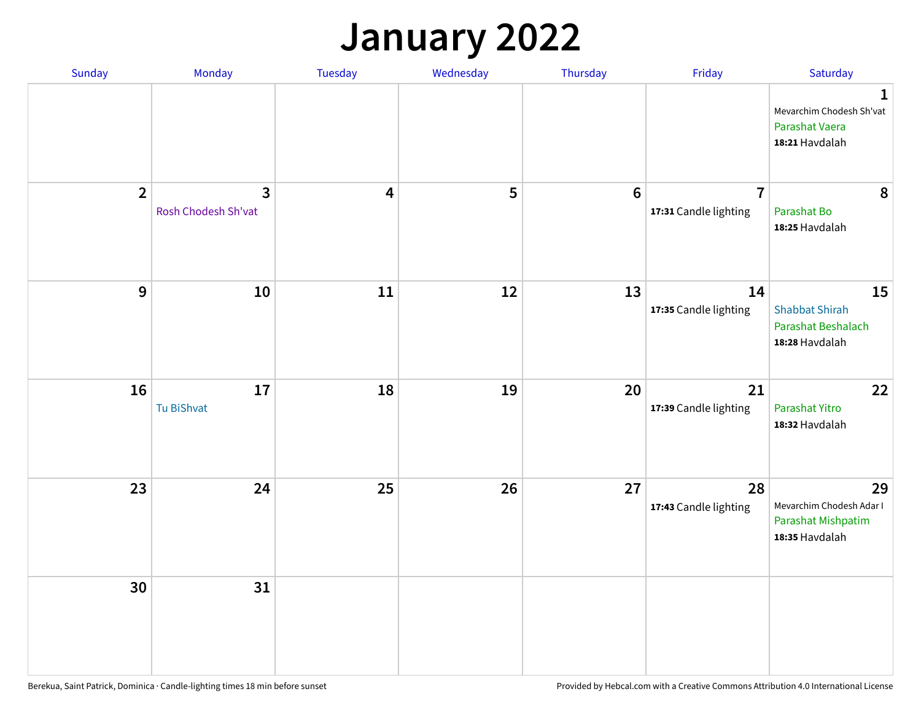## **January 2022**

| Sunday         | Monday                              | Tuesday                 | Wednesday | Thursday | Friday                                  | Saturday                                                                     |
|----------------|-------------------------------------|-------------------------|-----------|----------|-----------------------------------------|------------------------------------------------------------------------------|
|                |                                     |                         |           |          |                                         | $\mathbf{1}$<br>Mevarchim Chodesh Sh'vat<br>Parashat Vaera<br>18:21 Havdalah |
| $\overline{2}$ | $\mathbf{3}$<br>Rosh Chodesh Sh'vat | $\overline{\mathbf{4}}$ | 5         | $6\,$    | $\overline{7}$<br>17:31 Candle lighting | 8<br>Parashat Bo<br>18:25 Havdalah                                           |
| $\mathbf{9}$   | 10                                  | 11                      | 12        | 13       | 14<br>17:35 Candle lighting             | 15<br><b>Shabbat Shirah</b><br>Parashat Beshalach<br>18:28 Havdalah          |
| 16             | 17<br>Tu BiShvat                    | 18                      | 19        | 20       | 21<br>17:39 Candle lighting             | 22<br>Parashat Yitro<br>18:32 Havdalah                                       |
| 23             | 24                                  | 25                      | 26        | 27       | 28<br>17:43 Candle lighting             | 29<br>Mevarchim Chodesh Adar I<br>Parashat Mishpatim<br>18:35 Havdalah       |
| 30             | 31                                  |                         |           |          |                                         |                                                                              |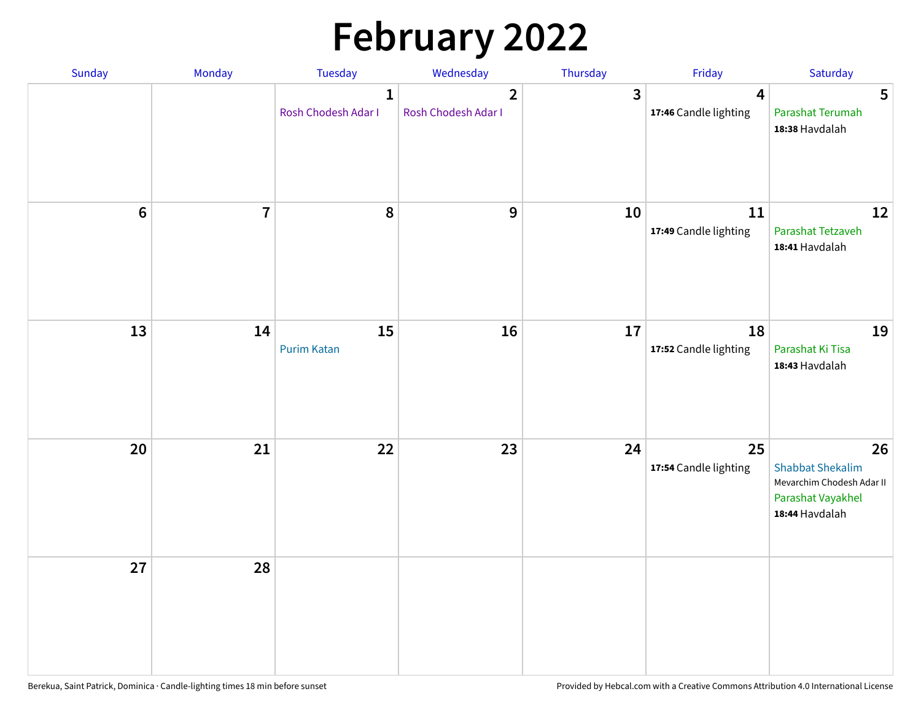# **February 2022**

| Sunday | Monday                  | <b>Tuesday</b>                      | Wednesday                             | Thursday | Friday                                           | Saturday                                                                                          |
|--------|-------------------------|-------------------------------------|---------------------------------------|----------|--------------------------------------------------|---------------------------------------------------------------------------------------------------|
|        |                         | $\mathbf{1}$<br>Rosh Chodesh Adar I | $\overline{2}$<br>Rosh Chodesh Adar I | 3        | $\overline{\mathbf{4}}$<br>17:46 Candle lighting | 5<br>Parashat Terumah<br>18:38 Havdalah                                                           |
| $6\,$  | $\overline{\mathbf{7}}$ | 8                                   | 9                                     | 10       | 11<br>17:49 Candle lighting                      | 12<br>Parashat Tetzaveh<br>18:41 Havdalah                                                         |
| 13     | 14                      | 15<br><b>Purim Katan</b>            | 16                                    | 17       | 18<br>17:52 Candle lighting                      | 19<br>Parashat Ki Tisa<br>18:43 Havdalah                                                          |
| 20     | 21                      | 22                                  | 23                                    | 24       | 25<br>17:54 Candle lighting                      | 26<br><b>Shabbat Shekalim</b><br>Mevarchim Chodesh Adar II<br>Parashat Vayakhel<br>18:44 Havdalah |
| 27     | 28                      |                                     |                                       |          |                                                  |                                                                                                   |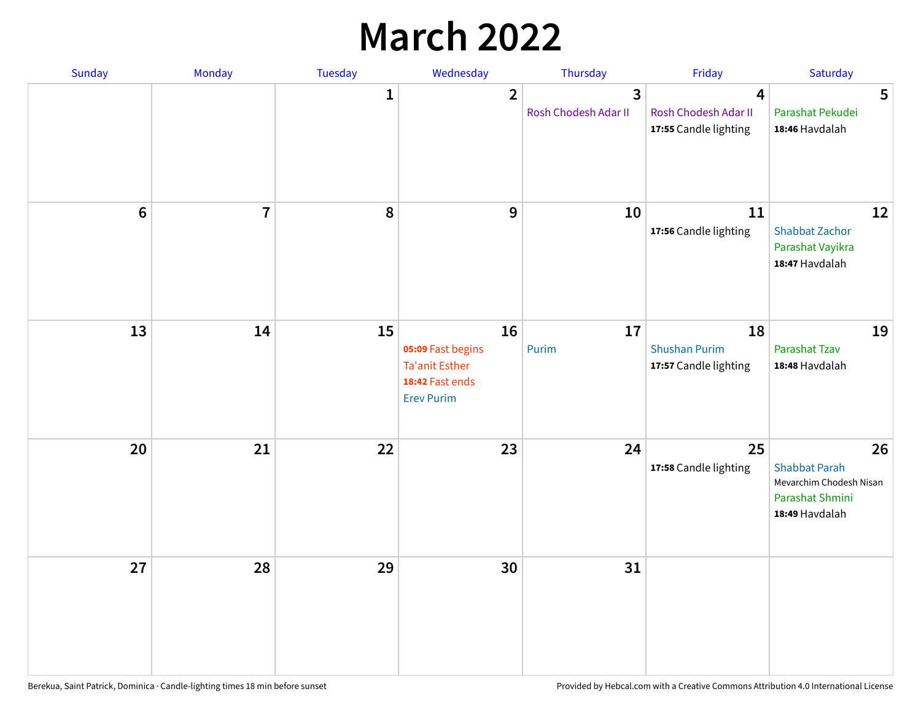## **March 2022**

| Sunday           | Monday         | <b>Tuesday</b> | Wednesday                                                                                | Thursday                  | Friday                                              | Saturday                                                                                   |
|------------------|----------------|----------------|------------------------------------------------------------------------------------------|---------------------------|-----------------------------------------------------|--------------------------------------------------------------------------------------------|
|                  |                | $\mathbf{1}$   | $\overline{2}$                                                                           | 3<br>Rosh Chodesh Adar II | 4<br>Rosh Chodesh Adar II<br>17:55 Candle lighting  | 5<br>Parashat Pekudei<br>18:46 Havdalah                                                    |
| $\boldsymbol{6}$ | $\overline{1}$ | 8              | $\boldsymbol{9}$                                                                         | 10                        | 11<br>17:56 Candle lighting                         | 12<br>Shabbat Zachor<br>Parashat Vayikra<br>18:47 Havdalah                                 |
| 13               | 14             | 15             | 16<br>05:09 Fast begins<br><b>Ta'anit Esther</b><br>18:42 Fast ends<br><b>Erev Purim</b> | 17<br>Purim               | 18<br><b>Shushan Purim</b><br>17:57 Candle lighting | 19<br>Parashat Tzav<br>18:48 Havdalah                                                      |
| 20               | 21             | 22             | 23                                                                                       | 24                        | 25<br>17:58 Candle lighting                         | 26<br><b>Shabbat Parah</b><br>Mevarchim Chodesh Nisan<br>Parashat Shmini<br>18:49 Havdalah |
| 27               | 28             | 29             | 30                                                                                       | 31                        |                                                     |                                                                                            |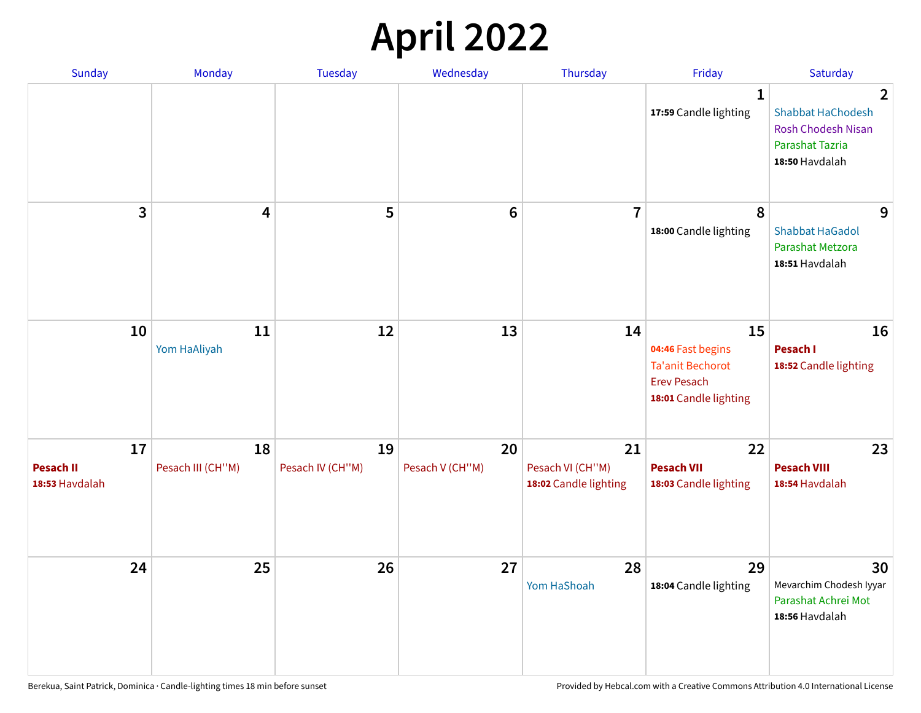## **April 2022**

| Sunday                                   | Monday                  | <b>Tuesday</b>         | Wednesday             | Thursday                                        | Friday                                                                                            | Saturday                                                                                                            |
|------------------------------------------|-------------------------|------------------------|-----------------------|-------------------------------------------------|---------------------------------------------------------------------------------------------------|---------------------------------------------------------------------------------------------------------------------|
|                                          |                         |                        |                       |                                                 | $\mathbf{1}$<br>17:59 Candle lighting                                                             | $\overline{2}$<br><b>Shabbat HaChodesh</b><br><b>Rosh Chodesh Nisan</b><br><b>Parashat Tazria</b><br>18:50 Havdalah |
| 3                                        | $\overline{\mathbf{4}}$ | 5                      | $6\phantom{1}6$       | $\overline{7}$                                  | 8<br>18:00 Candle lighting                                                                        | 9<br><b>Shabbat HaGadol</b><br>Parashat Metzora<br>18:51 Havdalah                                                   |
| 10                                       | 11<br>Yom HaAliyah      | 12                     | 13                    | 14                                              | 15<br>04:46 Fast begins<br><b>Ta'anit Bechorot</b><br><b>Erev Pesach</b><br>18:01 Candle lighting | 16<br>Pesach I<br>18:52 Candle lighting                                                                             |
| 17<br><b>Pesach II</b><br>18:53 Havdalah | 18<br>Pesach III (CH"M) | 19<br>Pesach IV (CH"M) | 20<br>Pesach V (CH"M) | 21<br>Pesach VI (CH"M)<br>18:02 Candle lighting | 22<br><b>Pesach VII</b><br>18:03 Candle lighting                                                  | 23<br><b>Pesach VIII</b><br>18:54 Havdalah                                                                          |
| 24                                       | 25                      | 26                     | 27                    | 28<br>Yom HaShoah                               | 29<br>18:04 Candle lighting                                                                       | 30<br>Mevarchim Chodesh Iyyar<br>Parashat Achrei Mot<br>18:56 Havdalah                                              |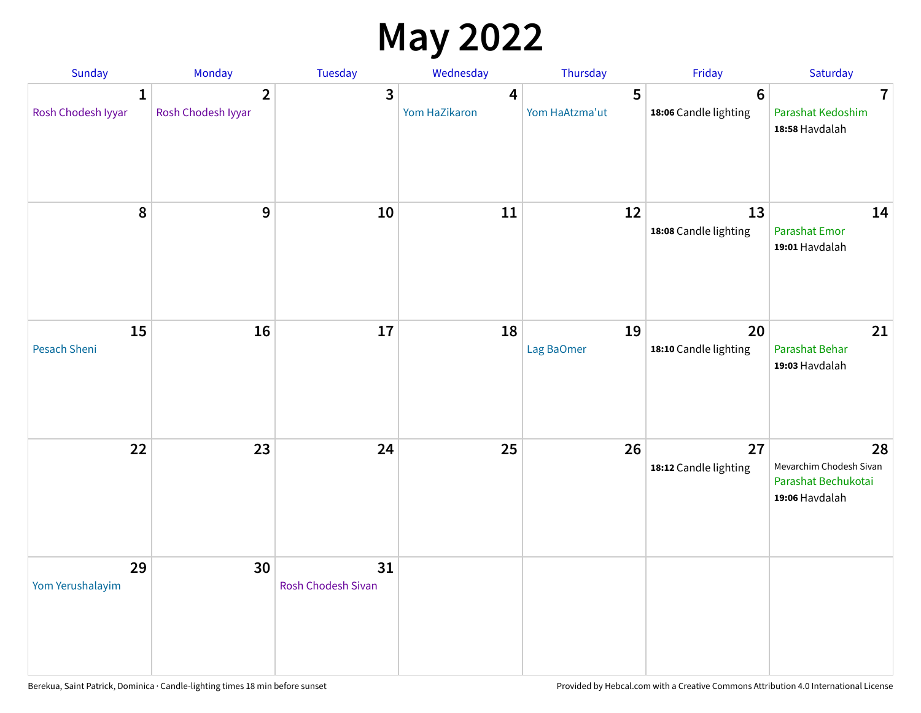## **May 2022**

| Sunday                             | Monday                               | Tuesday                  | Wednesday                                | Thursday            | Friday                                   | Saturday                                                               |
|------------------------------------|--------------------------------------|--------------------------|------------------------------------------|---------------------|------------------------------------------|------------------------------------------------------------------------|
| $\mathbf{1}$<br>Rosh Chodesh Iyyar | $\overline{2}$<br>Rosh Chodesh Iyyar | 3                        | $\overline{\mathbf{4}}$<br>Yom HaZikaron | 5<br>Yom HaAtzma'ut | $6\phantom{1}6$<br>18:06 Candle lighting | $\overline{7}$<br>Parashat Kedoshim<br>18:58 Havdalah                  |
| $\pmb{8}$                          | $\mathbf{9}$                         | 10                       | 11                                       | 12                  | 13<br>18:08 Candle lighting              | 14<br>Parashat Emor<br>19:01 Havdalah                                  |
| 15<br>Pesach Sheni                 | 16                                   | 17                       | 18                                       | 19<br>Lag BaOmer    | 20<br>18:10 Candle lighting              | 21<br>Parashat Behar<br>19:03 Havdalah                                 |
| 22                                 | 23                                   | 24                       | 25                                       | 26                  | 27<br>18:12 Candle lighting              | 28<br>Mevarchim Chodesh Sivan<br>Parashat Bechukotai<br>19:06 Havdalah |
| 29<br>Yom Yerushalayim             | 30                                   | 31<br>Rosh Chodesh Sivan |                                          |                     |                                          |                                                                        |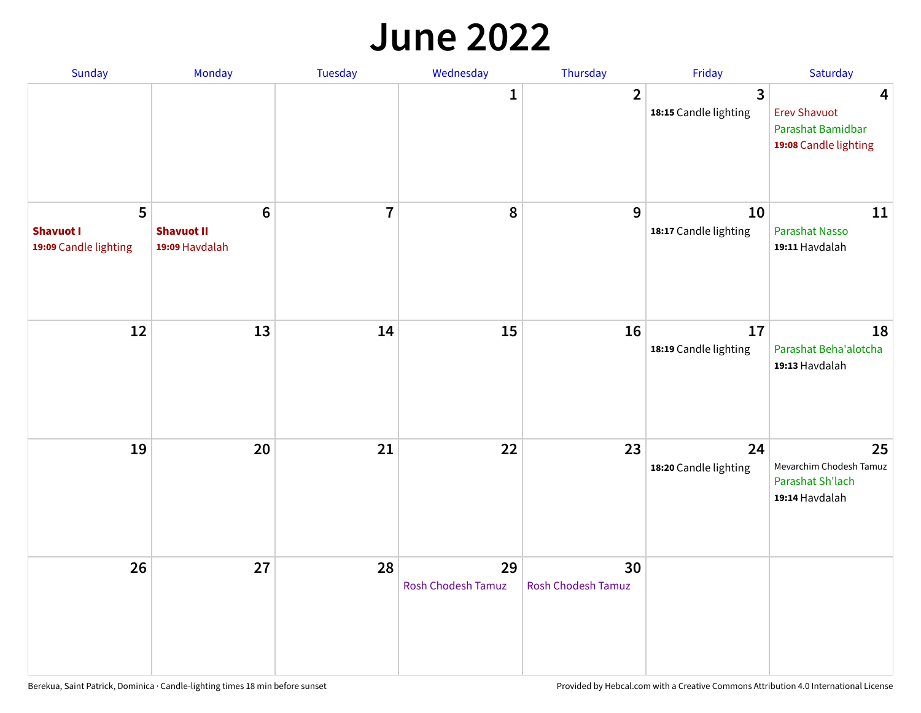#### **June 2022**

| Sunday                                         | Monday                                                | Tuesday        | Wednesday                       | Thursday                        | Friday                      | Saturday                                                               |
|------------------------------------------------|-------------------------------------------------------|----------------|---------------------------------|---------------------------------|-----------------------------|------------------------------------------------------------------------|
|                                                |                                                       |                | 1                               | $\overline{2}$                  | 3<br>18:15 Candle lighting  | 4<br><b>Erev Shavuot</b><br>Parashat Bamidbar<br>19:08 Candle lighting |
| 5<br><b>Shavuot I</b><br>19:09 Candle lighting | $6\phantom{1}$<br><b>Shavuot II</b><br>19:09 Havdalah | $\overline{7}$ | 8                               | 9                               | 10<br>18:17 Candle lighting | 11<br><b>Parashat Nasso</b><br>19:11 Havdalah                          |
| 12                                             | 13                                                    | 14             | 15                              | 16                              | 17<br>18:19 Candle lighting | 18<br>Parashat Beha'alotcha<br>19:13 Havdalah                          |
| 19                                             | 20                                                    | 21             | 22                              | 23                              | 24<br>18:20 Candle lighting | 25<br>Mevarchim Chodesh Tamuz<br>Parashat Sh'lach<br>19:14 Havdalah    |
| 26                                             | 27                                                    | 28             | 29<br><b>Rosh Chodesh Tamuz</b> | 30<br><b>Rosh Chodesh Tamuz</b> |                             |                                                                        |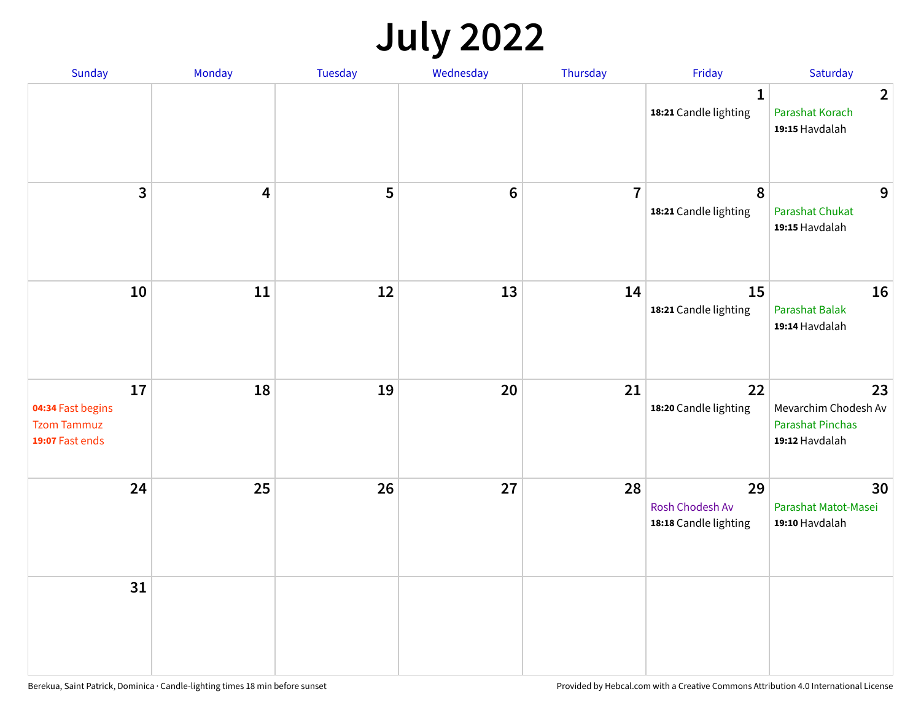## **July 2022**

| Sunday                                                           | Monday                  | Tuesday | Wednesday      | Thursday       | Friday                                         | Saturday                                                                |
|------------------------------------------------------------------|-------------------------|---------|----------------|----------------|------------------------------------------------|-------------------------------------------------------------------------|
|                                                                  |                         |         |                |                | $\mathbf{1}$<br>18:21 Candle lighting          | $\overline{2}$<br>Parashat Korach<br>19:15 Havdalah                     |
| $\mathbf{3}$                                                     | $\overline{\mathbf{4}}$ | 5       | $6\phantom{1}$ | $\overline{7}$ | $\boldsymbol{8}$<br>18:21 Candle lighting      | 9<br><b>Parashat Chukat</b><br>19:15 Havdalah                           |
| 10                                                               | 11                      | 12      | 13             | 14             | 15<br>18:21 Candle lighting                    | 16<br><b>Parashat Balak</b><br>19:14 Havdalah                           |
| 17<br>04:34 Fast begins<br><b>Tzom Tammuz</b><br>19:07 Fast ends | 18                      | 19      | 20             | 21             | 22<br>18:20 Candle lighting                    | 23<br>Mevarchim Chodesh Av<br><b>Parashat Pinchas</b><br>19:12 Havdalah |
| 24                                                               | 25                      | 26      | 27             | 28             | 29<br>Rosh Chodesh Av<br>18:18 Candle lighting | 30<br>Parashat Matot-Masei<br>19:10 Havdalah                            |
| 31                                                               |                         |         |                |                |                                                |                                                                         |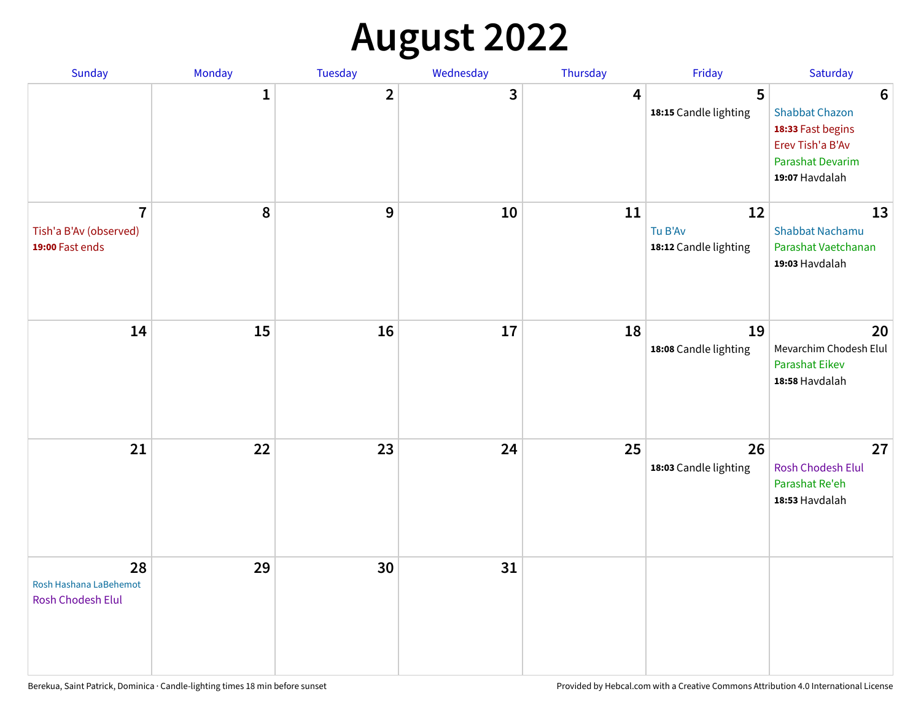## **August 2022**

| Sunday                                                      | Monday       | <b>Tuesday</b> | Wednesday | Thursday | Friday                                 | Saturday                                                                                                                       |
|-------------------------------------------------------------|--------------|----------------|-----------|----------|----------------------------------------|--------------------------------------------------------------------------------------------------------------------------------|
|                                                             | $\mathbf{1}$ | $\overline{2}$ | 3         | 4        | 5<br>18:15 Candle lighting             | $6\phantom{1}6$<br><b>Shabbat Chazon</b><br>18:33 Fast begins<br>Erev Tish'a B'Av<br><b>Parashat Devarim</b><br>19:07 Havdalah |
| $\overline{7}$<br>Tish'a B'Av (observed)<br>19:00 Fast ends | 8            | 9              | 10        | 11       | 12<br>Tu B'Av<br>18:12 Candle lighting | 13<br><b>Shabbat Nachamu</b><br>Parashat Vaetchanan<br>19:03 Havdalah                                                          |
| 14                                                          | 15           | 16             | 17        | 18       | 19<br>18:08 Candle lighting            | 20<br>Mevarchim Chodesh Elul<br><b>Parashat Eikev</b><br>18:58 Havdalah                                                        |
| 21                                                          | 22           | 23             | 24        | 25       | 26<br>18:03 Candle lighting            | 27<br><b>Rosh Chodesh Elul</b><br>Parashat Re'eh<br>18:53 Havdalah                                                             |
| 28<br>Rosh Hashana LaBehemot<br><b>Rosh Chodesh Elul</b>    | 29           | 30             | 31        |          |                                        |                                                                                                                                |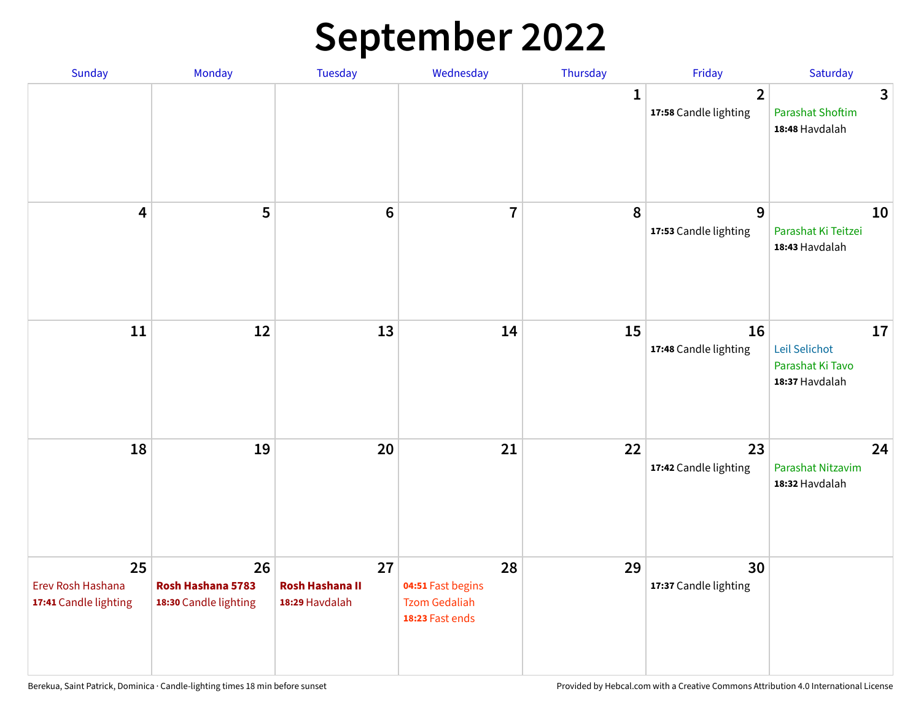## **September 2022**

| Sunday                                           | Monday                                           | Tuesday                                        | Wednesday                                                          | Thursday     | Friday                                  | Saturday                                                  |
|--------------------------------------------------|--------------------------------------------------|------------------------------------------------|--------------------------------------------------------------------|--------------|-----------------------------------------|-----------------------------------------------------------|
|                                                  |                                                  |                                                |                                                                    | $\mathbf{1}$ | $\overline{2}$<br>17:58 Candle lighting | 3<br><b>Parashat Shoftim</b><br>18:48 Havdalah            |
| $\overline{\mathbf{4}}$                          | 5                                                | $6\phantom{1}6$                                | $\overline{7}$                                                     | 8            | 9<br>17:53 Candle lighting              | 10<br>Parashat Ki Teitzei<br>18:43 Havdalah               |
| $11\,$                                           | 12                                               | 13                                             | 14                                                                 | 15           | 16<br>17:48 Candle lighting             | 17<br>Leil Selichot<br>Parashat Ki Tavo<br>18:37 Havdalah |
| 18                                               | 19                                               | 20                                             | 21                                                                 | 22           | 23<br>17:42 Candle lighting             | 24<br>Parashat Nitzavim<br>18:32 Havdalah                 |
| 25<br>Erev Rosh Hashana<br>17:41 Candle lighting | 26<br>Rosh Hashana 5783<br>18:30 Candle lighting | 27<br><b>Rosh Hashana II</b><br>18:29 Havdalah | 28<br>04:51 Fast begins<br><b>Tzom Gedaliah</b><br>18:23 Fast ends | 29           | 30<br>17:37 Candle lighting             |                                                           |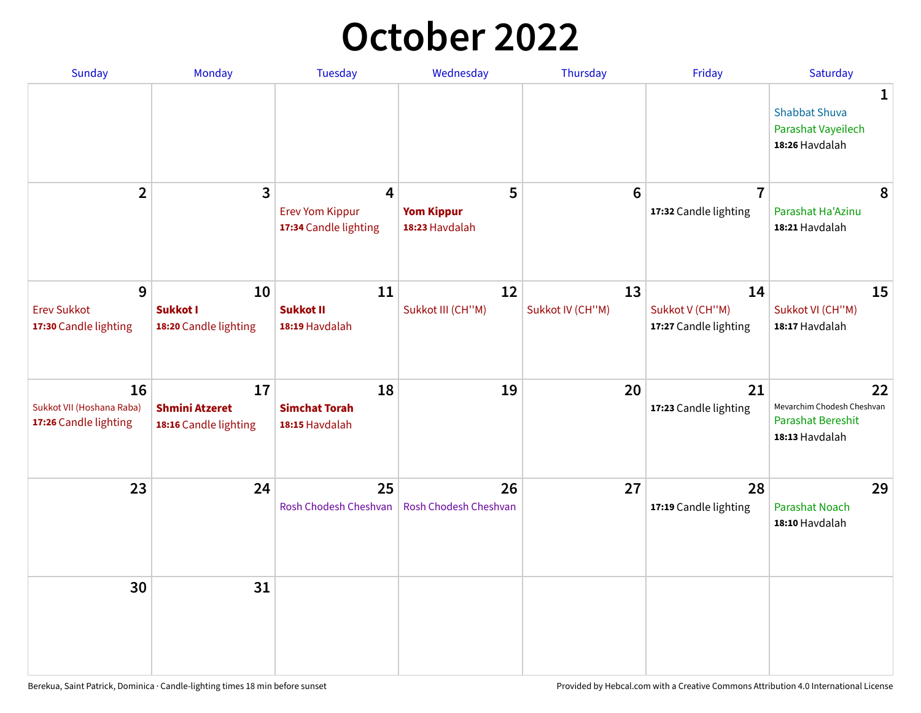## **October 2022**

| Sunday                                                   | <b>Monday</b>                                        | <b>Tuesday</b>                                                    | Wednesday                                | Thursday               | Friday                                         | Saturday                                                                       |
|----------------------------------------------------------|------------------------------------------------------|-------------------------------------------------------------------|------------------------------------------|------------------------|------------------------------------------------|--------------------------------------------------------------------------------|
|                                                          |                                                      |                                                                   |                                          |                        |                                                | $\mathbf 1$<br><b>Shabbat Shuva</b><br>Parashat Vayeilech<br>18:26 Havdalah    |
| $\overline{2}$                                           | $\mathbf{3}$                                         | $\overline{4}$<br><b>Erev Yom Kippur</b><br>17:34 Candle lighting | 5<br><b>Yom Kippur</b><br>18:23 Havdalah | 6                      | $\overline{7}$<br>17:32 Candle lighting        | 8<br>Parashat Ha'Azinu<br>18:21 Havdalah                                       |
| 9<br><b>Erev Sukkot</b><br>17:30 Candle lighting         | 10<br><b>Sukkot I</b><br>18:20 Candle lighting       | 11<br><b>Sukkot II</b><br>18:19 Havdalah                          | 12<br>Sukkot III (CH"M)                  | 13<br>Sukkot IV (CH"M) | 14<br>Sukkot V (CH"M)<br>17:27 Candle lighting | 15<br>Sukkot VI (CH"M)<br>18:17 Havdalah                                       |
| 16<br>Sukkot VII (Hoshana Raba)<br>17:26 Candle lighting | 17<br><b>Shmini Atzeret</b><br>18:16 Candle lighting | 18<br><b>Simchat Torah</b><br>18:15 Havdalah                      | 19                                       | 20                     | 21<br>17:23 Candle lighting                    | 22<br>Mevarchim Chodesh Cheshvan<br><b>Parashat Bereshit</b><br>18:13 Havdalah |
| 23                                                       | 24                                                   | 25<br>Rosh Chodesh Cheshvan                                       | 26<br>Rosh Chodesh Cheshvan              | 27                     | 28<br>17:19 Candle lighting                    | 29<br>Parashat Noach<br>18:10 Havdalah                                         |
| 30                                                       | 31                                                   |                                                                   |                                          |                        |                                                |                                                                                |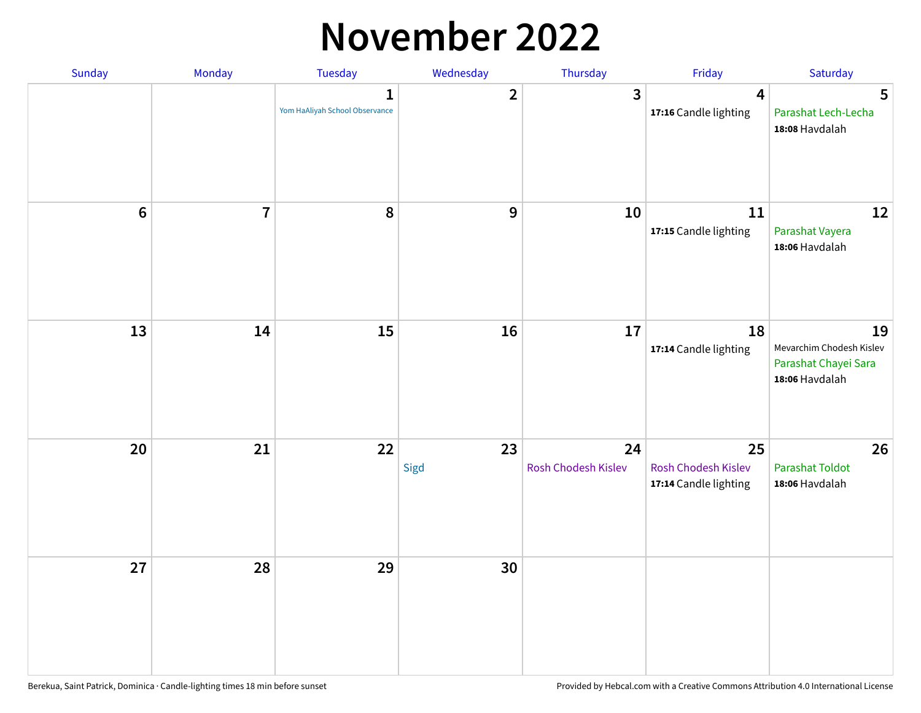#### **November 2022**

| Sunday         | Monday         | <b>Tuesday</b>                                 | Wednesday        | Thursday                  | Friday                                             | Saturday                                                                 |
|----------------|----------------|------------------------------------------------|------------------|---------------------------|----------------------------------------------------|--------------------------------------------------------------------------|
|                |                | $\mathbf{1}$<br>Yom HaAliyah School Observance | $\mathbf{2}$     | $\mathbf{3}$              | $\overline{\mathbf{4}}$<br>17:16 Candle lighting   | 5<br>Parashat Lech-Lecha<br>18:08 Havdalah                               |
| $6\phantom{a}$ | $\overline{7}$ | 8                                              | $\boldsymbol{9}$ | 10                        | 11<br>17:15 Candle lighting                        | 12<br>Parashat Vayera<br>18:06 Havdalah                                  |
| 13             | 14             | 15                                             | 16               | 17                        | 18<br>17:14 Candle lighting                        | 19<br>Mevarchim Chodesh Kislev<br>Parashat Chayei Sara<br>18:06 Havdalah |
| 20             | 21             | 22                                             | 23<br>Sigd       | 24<br>Rosh Chodesh Kislev | 25<br>Rosh Chodesh Kislev<br>17:14 Candle lighting | 26<br>Parashat Toldot<br>18:06 Havdalah                                  |
| 27             | 28             | 29                                             | 30               |                           |                                                    |                                                                          |